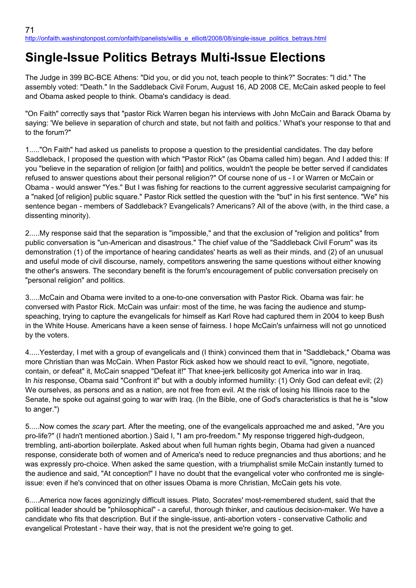## **Single-Issue Politics Betrays Multi-Issue Elections**

The Judge in 399 BC-BCE Athens: "Did you, or did you not, teach people to think?" Socrates: "I did." The assembly voted: "Death." In the Saddleback Civil Forum, August 16, AD 2008 CE, McCain asked people to feel and Obama asked people to think. Obama's candidacy is dead.

"On Faith" correctly says that "pastor Rick Warren began his interviews with John McCain and Barack Obama by saying: 'We believe in separation of church and state, but not faith and politics.' What's your response to that and to the forum?"

1....."On Faith" had asked us panelists to propose a question to the presidential candidates. The day before Saddleback, I proposed the question with which "Pastor Rick" (as Obama called him) began. And I added this: If you "believe in the separation of religion [or faith] and politics, wouldn't the people be better served if candidates refused to answer questions about their personal religion?" Of course none of us - I or Warren or McCain or Obama - would answer "Yes." But I was fishing for reactions to the current aggressive secularist campaigning for a "naked [of religion] public square." Pastor Rick settled the question with the "but" in his first sentence. "We" his sentence began - members of Saddleback? Evangelicals? Americans? All of the above (with, in the third case, a dissenting minority).

2.....My response said that the separation is "impossible," and that the exclusion of "religion and politics" from public conversation is "un-American and disastrous." The chief value of the "Saddleback Civil Forum" was its demonstration (1) of the importance of hearing candidates' hearts as well as their minds, and (2) of an unusual and useful mode of civil discourse, namely, competitors answering the same questions without either knowing the other's answers. The secondary benefit is the forum's encouragement of public conversation precisely on "personal religion" and politics.

3.....McCain and Obama were invited to a one-to-one conversation with Pastor Rick. Obama was fair: he conversed with Pastor Rick. McCain was unfair: most of the time, he was facing the audience and stumpspeaching, trying to capture the evangelicals for himself as Karl Rove had captured them in 2004 to keep Bush in the White House. Americans have a keen sense of fairness. I hope McCain's unfairness will not go unnoticed by the voters.

4.....Yesterday, I met with a group of evangelicals and (I think) convinced them that in "Saddleback," Obama was more Christian than was McCain. When Pastor Rick asked how we should react to evil, "ignore, negotiate, contain, or defeat" it, McCain snapped "Defeat it!" That knee-jerk bellicosity got America into war in Iraq. In *his* response, Obama said "Confront it" but with a doubly informed humility: (1) Only God can defeat evil; (2) We ourselves, as persons and as a nation, are not free from evil. At the risk of losing his Illinois race to the Senate, he spoke out against going to war with Iraq. (In the Bible, one of God's characteristics is that he is "slow to anger.")

5.....Now comes the *scary* part. After the meeting, one of the evangelicals approached me and asked, "Are you pro-life?" (I hadn't mentioned abortion.) Said I, "I am pro-freedom." My response triggered high-dudgeon, trembling, anti-abortion boilerplate. Asked about when full human rights begin, Obama had given a nuanced response, considerate both of women and of America's need to reduce pregnancies and thus abortions; and he was expressly pro-choice. When asked the same question, with a triumphalist smile McCain instantly turned to the audience and said, "At conception!" I have no doubt that the evangelical voter who confronted me is singleissue: even if he's convinced that on other issues Obama is more Christian, McCain gets his vote.

6.....America now faces agonizingly difficult issues. Plato, Socrates' most-remembered student, said that the political leader should be "philosophical" - a careful, thorough thinker, and cautious decision-maker. We have a candidate who fits that description. But if the single-issue, anti-abortion voters - conservative Catholic and evangelical Protestant - have their way, that is not the president we're going to get.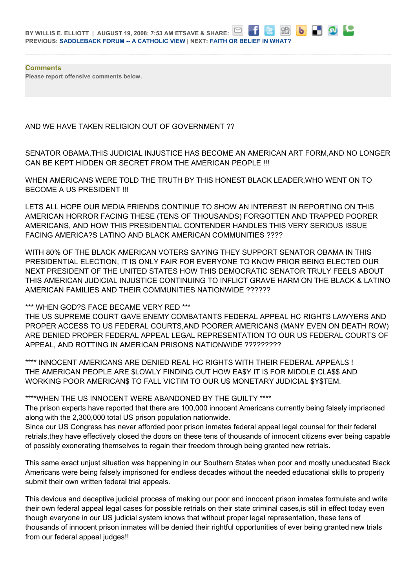**Comments Please report offensive comments below.**

AND WE HAVE TAKEN RELIGION OUT OF GOVERNMENT ??

SENATOR OBAMA,THIS JUDICIAL INJUSTICE HAS BECOME AN AMERICAN ART FORM,AND NO LONGER CAN BE KEPT HIDDEN OR SECRET FROM THE AMERICAN PEOPLE !!!

 $\mathbf{b}$ 

WHEN AMERICANS WERE TOLD THE TRUTH BY THIS HONEST BLACK LEADER,WHO WENT ON TO BECOME A US PRESIDENT !!!

LETS ALL HOPE OUR MEDIA FRIENDS CONTINUE TO SHOW AN INTEREST IN REPORTING ON THIS AMERICAN HORROR FACING THESE (TENS OF THOUSANDS) FORGOTTEN AND TRAPPED POORER AMERICANS, AND HOW THIS PRESIDENTIAL CONTENDER HANDLES THIS VERY SERIOUS ISSUE FACING AMERICA?S LATINO AND BLACK AMERICAN COMMUNITIES ????

WITH 80% OF THE BLACK AMERICAN VOTERS SAYING THEY SUPPORT SENATOR OBAMA IN THIS PRESIDENTIAL ELECTION, IT IS ONLY FAIR FOR EVERYONE TO KNOW PRIOR BEING ELECTED OUR NEXT PRESIDENT OF THE UNITED STATES HOW THIS DEMOCRATIC SENATOR TRULY FEELS ABOUT THIS AMERICAN JUDICIAL INJUSTICE CONTINUING TO INFLICT GRAVE HARM ON THE BLACK & LATINO AMERICAN FAMILIES AND THEIR COMMUNITIES NATIONWIDE ??????

\*\*\* WHEN GOD?S FACE BECAME VERY RED \*\*\*

THE US SUPREME COURT GAVE ENEMY COMBATANTS FEDERAL APPEAL HC RIGHTS LAWYERS AND PROPER ACCESS TO US FEDERAL COURTS,AND POORER AMERICANS (MANY EVEN ON DEATH ROW) ARE DENIED PROPER FEDERAL APPEAL LEGAL REPRESENTATION TO OUR US FEDERAL COURTS OF APPEAL, AND ROTTING IN AMERICAN PRISONS NATIONWIDE ?????????

\*\*\*\* INNOCENT AMERICANS ARE DENIED REAL HC RIGHTS WITH THEIR FEDERAL APPEALS ! THE AMERICAN PEOPLE ARE \$LOWLY FINDING OUT HOW EA\$Y IT I\$ FOR MIDDLE CLA\$\$ AND WORKING POOR AMERICAN\$ TO FALL VICTIM TO OUR U\$ MONETARY JUDICIAL \$Y\$TEM.

\*\*\*\*WHEN THE US INNOCENT WERE ABANDONED BY THE GUILTY \*\*\*\*

The prison experts have reported that there are 100,000 innocent Americans currently being falsely imprisoned along with the 2,300,000 total US prison population nationwide.

Since our US Congress has never afforded poor prison inmates federal appeal legal counsel for their federal retrials,they have effectively closed the doors on these tens of thousands of innocent citizens ever being capable of possibly exonerating themselves to regain their freedom through being granted new retrials.

This same exact unjust situation was happening in our Southern States when poor and mostly uneducated Black Americans were being falsely imprisoned for endless decades without the needed educational skills to properly submit their own written federal trial appeals.

This devious and deceptive judicial process of making our poor and innocent prison inmates formulate and write their own federal appeal legal cases for possible retrials on their state criminal cases,is still in effect today even though everyone in our US judicial system knows that without proper legal representation, these tens of thousands of innocent prison inmates will be denied their rightful opportunities of ever being granted new trials from our federal appeal judges!!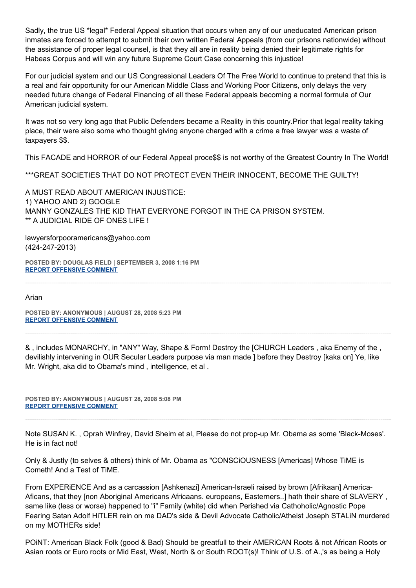Sadly, the true US \*legal\* Federal Appeal situation that occurs when any of our uneducated American prison inmates are forced to attempt to submit their own written Federal Appeals (from our prisons nationwide) without the assistance of proper legal counsel, is that they all are in reality being denied their legitimate rights for Habeas Corpus and will win any future Supreme Court Case concerning this injustice!

For our judicial system and our US Congressional Leaders Of The Free World to continue to pretend that this is a real and fair opportunity for our American Middle Class and Working Poor Citizens, only delays the very needed future change of Federal Financing of all these Federal appeals becoming a normal formula of Our American judicial system.

It was not so very long ago that Public Defenders became a Reality in this country.Prior that legal reality taking place, their were also some who thought giving anyone charged with a crime a free lawyer was a waste of taxpayers \$\$.

This FACADE and HORROR of our Federal Appeal proce\$\$ is not worthy of the Greatest Country In The World!

\*\*\*GREAT SOCIETIES THAT DO NOT PROTECT EVEN THEIR INNOCENT, BECOME THE GUILTY!

A MUST READ ABOUT AMERICAN INJUSTICE: 1) YAHOO AND 2) GOOGLE MANNY GONZALES THE KID THAT EVERYONE FORGOT IN THE CA PRISON SYSTEM. \*\* A JUDICIAL RIDE OF ONES LIFE !

lawyersforpooramericans@yahoo.com (424-247-2013)

**POSTED BY: DOUGLAS FIELD | SEPTEMBER 3, 2008 1:16 PM [REPORT OFFENSIVE COMMENT](mailto:blogs@washingtonpost.com?subject=On%20Faith%20Panelists%20Blog%20%20%7C%20%20DOUGLAS%20FIELD%20%20%7C%20%20Single-Issue%20Politics%20Betrays%20Multi-Issue%20Elections%20%20%7C%20%204523968&body=%0D%0D%0D%0D%0D================%0D?__mode=view%26_type=comment%26id=4523968%26blog_id=618)**

Arian

**POSTED BY: ANONYMOUS | AUGUST 28, 2008 5:23 PM [REPORT OFFENSIVE COMMENT](mailto:blogs@washingtonpost.com?subject=On%20Faith%20Panelists%20Blog%20%20%7C%20%20Anonymous%20%20%7C%20%20Single-Issue%20Politics%20Betrays%20Multi-Issue%20Elections%20%20%7C%20%204511885&body=%0D%0D%0D%0D%0D================%0D?__mode=view%26_type=comment%26id=4511885%26blog_id=618)**

& , includes MONARCHY, in "ANY" Way, Shape & Form! Destroy the [CHURCH Leaders , aka Enemy of the , devilishly intervening in OUR Secular Leaders purpose via man made ] before they Destroy [kaka on] Ye, like Mr. Wright, aka did to Obama's mind , intelligence, et al .

**POSTED BY: ANONYMOUS | AUGUST 28, 2008 5:08 PM [REPORT OFFENSIVE COMMENT](mailto:blogs@washingtonpost.com?subject=On%20Faith%20Panelists%20Blog%20%20%7C%20%20Anonymous%20%20%7C%20%20Single-Issue%20Politics%20Betrays%20Multi-Issue%20Elections%20%20%7C%20%204511870&body=%0D%0D%0D%0D%0D================%0D?__mode=view%26_type=comment%26id=4511870%26blog_id=618)**

Note SUSAN K. , Oprah Winfrey, David Sheim et al, Please do not prop-up Mr. Obama as some 'Black-Moses'. He is in fact not!

Only & Justly (to selves & others) think of Mr. Obama as "CONSCiOUSNESS [Americas] Whose TiME is Cometh! And a Test of TiME.

From EXPERiENCE And as a carcassion [Ashkenazi] American-Israeli raised by brown [Afrikaan] America-Aficans, that they [non Aboriginal Americans Africaans. europeans, Easterners..] hath their share of SLAVERY , same like (less or worse) happened to "i" Family (white) did when Perished via Cathoholic/Agnostic Pope Fearing Satan Adolf HiTLER rein on me DAD's side & Devil Advocate Catholic/Atheist Joseph STALiN murdered on my MOTHERs side!

POiNT: American Black Folk (good & Bad) Should be greatfull to their AMERiCAN Roots & not African Roots or Asian roots or Euro roots or Mid East, West, North & or South ROOT(s)! Think of U.S. of A.,'s as being a Holy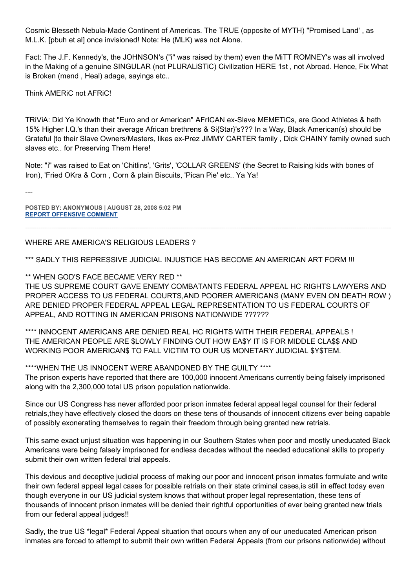Cosmic Blesseth Nebula-Made Continent of Americas. The TRUE (opposite of MYTH) "Promised Land' , as M.L.K. [pbuh et al] once invisioned! Note: He (MLK) was not Alone.

Fact: The J.F. Kennedy's, the JOHNSON's ("i" was raised by them) even the MiTT ROMNEY's was all involved in the Making of a genuine SINGULAR (not PLURALiSTiC) Civilization HERE 1st , not Abroad. Hence, Fix What is Broken (mend , Heal) adage, sayings etc..

Think AMERiC not AFRiC!

TRiViA: Did Ye Knowth that "Euro and or American" AFrICAN ex-Slave MEMETiCs, are Good Athletes & hath 15% Higher I.Q.'s than their average African brethrens & Si{Star}'s??? In a Way, Black American(s) should be Grateful [to their Slave Owners/Masters, likes ex-Prez JiMMY CARTER family , Dick CHAINY family owned such slaves etc.. for Preserving Them Here!

Note: "i" was raised to Eat on 'Chitlins', 'Grits', 'COLLAR GREENS' (the Secret to Raising kids with bones of Iron), 'Fried OKra & Corn , Corn & plain Biscuits, 'Pican Pie' etc.. Ya Ya!

---

**POSTED BY: ANONYMOUS | AUGUST 28, 2008 5:02 PM [REPORT OFFENSIVE COMMENT](mailto:blogs@washingtonpost.com?subject=On%20Faith%20Panelists%20Blog%20%20%7C%20%20Anonymous%20%20%7C%20%20Single-Issue%20Politics%20Betrays%20Multi-Issue%20Elections%20%20%7C%20%204511857&body=%0D%0D%0D%0D%0D================%0D?__mode=view%26_type=comment%26id=4511857%26blog_id=618)**

WHERE ARE AMERICA'S RELIGIOUS LEADERS ?

\*\*\* SADLY THIS REPRESSIVE JUDICIAL INJUSTICE HAS BECOME AN AMERICAN ART FORM !!!

\*\* WHEN GOD'S FACE BECAME VERY RED \*\*

THE US SUPREME COURT GAVE ENEMY COMBATANTS FEDERAL APPEAL HC RIGHTS LAWYERS AND PROPER ACCESS TO US FEDERAL COURTS,AND POORER AMERICANS (MANY EVEN ON DEATH ROW ) ARE DENIED PROPER FEDERAL APPEAL LEGAL REPRESENTATION TO US FEDERAL COURTS OF APPEAL, AND ROTTING IN AMERICAN PRISONS NATIONWIDE ??????

\*\*\*\* INNOCENT AMERICANS ARE DENIED REAL HC RIGHTS WITH THEIR FEDERAL APPEALS ! THE AMERICAN PEOPLE ARE \$LOWLY FINDING OUT HOW EA\$Y IT I\$ FOR MIDDLE CLA\$\$ AND WORKING POOR AMERICAN\$ TO FALL VICTIM TO OUR U\$ MONETARY JUDICIAL \$Y\$TEM.

\*\*\*\*WHEN THE US INNOCENT WERE ABANDONED BY THE GUILTY \*\*\*\* The prison experts have reported that there are 100,000 innocent Americans currently being falsely imprisoned along with the 2,300,000 total US prison population nationwide.

Since our US Congress has never afforded poor prison inmates federal appeal legal counsel for their federal retrials,they have effectively closed the doors on these tens of thousands of innocent citizens ever being capable of possibly exonerating themselves to regain their freedom through being granted new retrials.

This same exact unjust situation was happening in our Southern States when poor and mostly uneducated Black Americans were being falsely imprisoned for endless decades without the needed educational skills to properly submit their own written federal trial appeals.

This devious and deceptive judicial process of making our poor and innocent prison inmates formulate and write their own federal appeal legal cases for possible retrials on their state criminal cases,is still in effect today even though everyone in our US judicial system knows that without proper legal representation, these tens of thousands of innocent prison inmates will be denied their rightful opportunities of ever being granted new trials from our federal appeal judges!!

Sadly, the true US \*legal\* Federal Appeal situation that occurs when any of our uneducated American prison inmates are forced to attempt to submit their own written Federal Appeals (from our prisons nationwide) without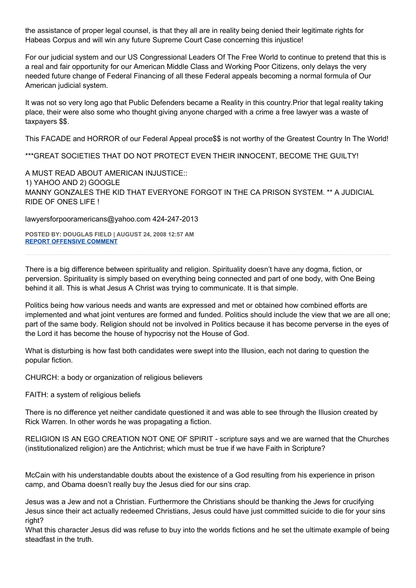the assistance of proper legal counsel, is that they all are in reality being denied their legitimate rights for Habeas Corpus and will win any future Supreme Court Case concerning this injustice!

For our judicial system and our US Congressional Leaders Of The Free World to continue to pretend that this is a real and fair opportunity for our American Middle Class and Working Poor Citizens, only delays the very needed future change of Federal Financing of all these Federal appeals becoming a normal formula of Our American judicial system.

It was not so very long ago that Public Defenders became a Reality in this country.Prior that legal reality taking place, their were also some who thought giving anyone charged with a crime a free lawyer was a waste of taxpayers \$\$.

This FACADE and HORROR of our Federal Appeal proce\$\$ is not worthy of the Greatest Country In The World!

\*\*\*GREAT SOCIETIES THAT DO NOT PROTECT EVEN THEIR INNOCENT, BECOME THE GUILTY!

A MUST READ ABOUT AMERICAN INJUSTICE:: 1) YAHOO AND 2) GOOGLE MANNY GONZALES THE KID THAT EVERYONE FORGOT IN THE CA PRISON SYSTEM. \*\* A JUDICIAL RIDE OF ONES LIFE !

lawyersforpooramericans@yahoo.com 424-247-2013

**POSTED BY: DOUGLAS FIELD | AUGUST 24, 2008 12:57 AM [REPORT OFFENSIVE COMMENT](mailto:blogs@washingtonpost.com?subject=On%20Faith%20Panelists%20Blog%20%20%7C%20%20DOUGLAS%20FIELD%20%20%7C%20%20Single-Issue%20Politics%20Betrays%20Multi-Issue%20Elections%20%20%7C%20%204508838&body=%0D%0D%0D%0D%0D================%0D?__mode=view%26_type=comment%26id=4508838%26blog_id=618)**

There is a big difference between spirituality and religion. Spirituality doesn't have any dogma, fiction, or perversion. Spirituality is simply based on everything being connected and part of one body, with One Being behind it all. This is what Jesus A Christ was trying to communicate. It is that simple.

Politics being how various needs and wants are expressed and met or obtained how combined efforts are implemented and what joint ventures are formed and funded. Politics should include the view that we are all one; part of the same body. Religion should not be involved in Politics because it has become perverse in the eyes of the Lord it has become the house of hypocrisy not the House of God.

What is disturbing is how fast both candidates were swept into the Illusion, each not daring to question the popular fiction.

CHURCH: a body or organization of religious believers

FAITH: a system of religious beliefs

There is no difference yet neither candidate questioned it and was able to see through the Illusion created by Rick Warren. In other words he was propagating a fiction.

RELIGION IS AN EGO CREATION NOT ONE OF SPIRIT - scripture says and we are warned that the Churches (institutionalized religion) are the Antichrist; which must be true if we have Faith in Scripture?

McCain with his understandable doubts about the existence of a God resulting from his experience in prison camp, and Obama doesn't really buy the Jesus died for our sins crap.

Jesus was a Jew and not a Christian. Furthermore the Christians should be thanking the Jews for crucifying Jesus since their act actually redeemed Christians, Jesus could have just committed suicide to die for your sins right?

What this character Jesus did was refuse to buy into the worlds fictions and he set the ultimate example of being steadfast in the truth.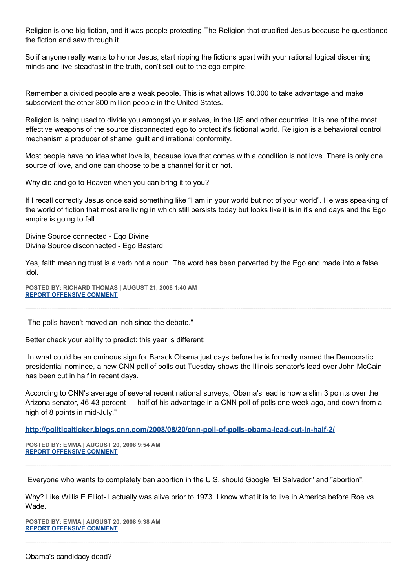Religion is one big fiction, and it was people protecting The Religion that crucified Jesus because he questioned the fiction and saw through it.

So if anyone really wants to honor Jesus, start ripping the fictions apart with your rational logical discerning minds and live steadfast in the truth, don't sell out to the ego empire.

Remember a divided people are a weak people. This is what allows 10,000 to take advantage and make subservient the other 300 million people in the United States.

Religion is being used to divide you amongst your selves, in the US and other countries. It is one of the most effective weapons of the source disconnected ego to protect it's fictional world. Religion is a behavioral control mechanism a producer of shame, guilt and irrational conformity.

Most people have no idea what love is, because love that comes with a condition is not love. There is only one source of love, and one can choose to be a channel for it or not.

Why die and go to Heaven when you can bring it to you?

If I recall correctly Jesus once said something like "I am in your world but not of your world". He was speaking of the world of fiction that most are living in which still persists today but looks like it is in it's end days and the Ego empire is going to fall.

Divine Source connected - Ego Divine Divine Source disconnected - Ego Bastard

Yes, faith meaning trust is a verb not a noun. The word has been perverted by the Ego and made into a false idol.

**POSTED BY: RICHARD THOMAS | AUGUST 21, 2008 1:40 AM [REPORT OFFENSIVE COMMENT](mailto:blogs@washingtonpost.com?subject=On%20Faith%20Panelists%20Blog%20%20%7C%20%20Richard%20Thomas%20%20%7C%20%20Single-Issue%20Politics%20Betrays%20Multi-Issue%20Elections%20%20%7C%20%204502967&body=%0D%0D%0D%0D%0D================%0D?__mode=view%26_type=comment%26id=4502967%26blog_id=618)**

"The polls haven't moved an inch since the debate."

Better check your ability to predict: this year is different:

"In what could be an ominous sign for Barack Obama just days before he is formally named the Democratic presidential nominee, a new CNN poll of polls out Tuesday shows the Illinois senator's lead over John McCain has been cut in half in recent days.

According to CNN's average of several recent national surveys, Obama's lead is now a slim 3 points over the Arizona senator, 46-43 percent — half of his advantage in a CNN poll of polls one week ago, and down from a high of 8 points in mid-July."

**<http://politicalticker.blogs.cnn.com/2008/08/20/cnn-poll-of-polls-obama-lead-cut-in-half-2/>**

**POSTED BY: EMMA | AUGUST 20, 2008 9:54 AM [REPORT OFFENSIVE COMMENT](mailto:blogs@washingtonpost.com?subject=On%20Faith%20Panelists%20Blog%20%20%7C%20%20emma%20%20%7C%20%20Single-Issue%20Politics%20Betrays%20Multi-Issue%20Elections%20%20%7C%20%204498207&body=%0D%0D%0D%0D%0D================%0D?__mode=view%26_type=comment%26id=4498207%26blog_id=618)**

"Everyone who wants to completely ban abortion in the U.S. should Google "El Salvador" and "abortion".

Why? Like Willis E Elliot- I actually was alive prior to 1973. I know what it is to live in America before Roe vs Wade.

**POSTED BY: EMMA | AUGUST 20, 2008 9:38 AM [REPORT OFFENSIVE COMMENT](mailto:blogs@washingtonpost.com?subject=On%20Faith%20Panelists%20Blog%20%20%7C%20%20emma%20%20%7C%20%20Single-Issue%20Politics%20Betrays%20Multi-Issue%20Elections%20%20%7C%20%204498143&body=%0D%0D%0D%0D%0D================%0D?__mode=view%26_type=comment%26id=4498143%26blog_id=618)**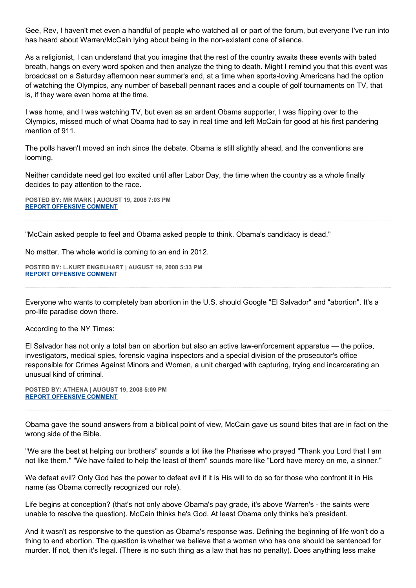Gee, Rev, I haven't met even a handful of people who watched all or part of the forum, but everyone I've run into has heard about Warren/McCain lying about being in the non-existent cone of silence.

As a religionist, I can understand that you imagine that the rest of the country awaits these events with bated breath, hangs on every word spoken and then analyze the thing to death. Might I remind you that this event was broadcast on a Saturday afternoon near summer's end, at a time when sports-loving Americans had the option of watching the Olympics, any number of baseball pennant races and a couple of golf tournaments on TV, that is, if they were even home at the time.

I was home, and I was watching TV, but even as an ardent Obama supporter, I was flipping over to the Olympics, missed much of what Obama had to say in real time and left McCain for good at his first pandering mention of 911.

The polls haven't moved an inch since the debate. Obama is still slightly ahead, and the conventions are looming.

Neither candidate need get too excited until after Labor Day, the time when the country as a whole finally decides to pay attention to the race.

**POSTED BY: MR MARK | AUGUST 19, 2008 7:03 PM [REPORT OFFENSIVE COMMENT](mailto:blogs@washingtonpost.com?subject=On%20Faith%20Panelists%20Blog%20%20%7C%20%20Mr%20Mark%20%20%7C%20%20Single-Issue%20Politics%20Betrays%20Multi-Issue%20Elections%20%20%7C%20%204493231&body=%0D%0D%0D%0D%0D================%0D?__mode=view%26_type=comment%26id=4493231%26blog_id=618)**

"McCain asked people to feel and Obama asked people to think. Obama's candidacy is dead."

No matter. The whole world is coming to an end in 2012.

**POSTED BY: L.KURT ENGELHART | AUGUST 19, 2008 5:33 PM [REPORT OFFENSIVE COMMENT](mailto:blogs@washingtonpost.com?subject=On%20Faith%20Panelists%20Blog%20%20%7C%20%20L.Kurt%20Engelhart%20%20%7C%20%20Single-Issue%20Politics%20Betrays%20Multi-Issue%20Elections%20%20%7C%20%204492601&body=%0D%0D%0D%0D%0D================%0D?__mode=view%26_type=comment%26id=4492601%26blog_id=618)**

Everyone who wants to completely ban abortion in the U.S. should Google "El Salvador" and "abortion". It's a pro-life paradise down there.

According to the NY Times:

El Salvador has not only a total ban on abortion but also an active law-enforcement apparatus — the police, investigators, medical spies, forensic vagina inspectors and a special division of the prosecutor's office responsible for Crimes Against Minors and Women, a unit charged with capturing, trying and incarcerating an unusual kind of criminal.

**POSTED BY: ATHENA | AUGUST 19, 2008 5:09 PM [REPORT OFFENSIVE COMMENT](mailto:blogs@washingtonpost.com?subject=On%20Faith%20Panelists%20Blog%20%20%7C%20%20Athena%20%20%7C%20%20Single-Issue%20Politics%20Betrays%20Multi-Issue%20Elections%20%20%7C%20%204492449&body=%0D%0D%0D%0D%0D================%0D?__mode=view%26_type=comment%26id=4492449%26blog_id=618)**

Obama gave the sound answers from a biblical point of view, McCain gave us sound bites that are in fact on the wrong side of the Bible.

"We are the best at helping our brothers" sounds a lot like the Pharisee who prayed "Thank you Lord that I am not like them." "We have failed to help the least of them" sounds more like "Lord have mercy on me, a sinner."

We defeat evil? Only God has the power to defeat evil if it is His will to do so for those who confront it in His name (as Obama correctly recognized our role).

Life begins at conception? (that's not only above Obama's pay grade, it's above Warren's - the saints were unable to resolve the question). McCain thinks he's God. At least Obama only thinks he's president.

And it wasn't as responsive to the question as Obama's response was. Defining the beginning of life won't do a thing to end abortion. The question is whether we believe that a woman who has one should be sentenced for murder. If not, then it's legal. (There is no such thing as a law that has no penalty). Does anything less make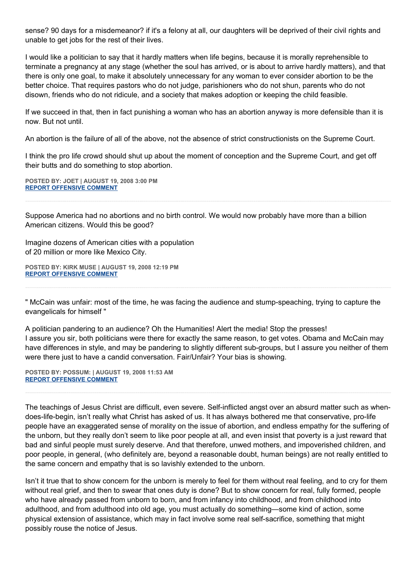sense? 90 days for a misdemeanor? if it's a felony at all, our daughters will be deprived of their civil rights and unable to get jobs for the rest of their lives.

I would like a politician to say that it hardly matters when life begins, because it is morally reprehensible to terminate a pregnancy at any stage (whether the soul has arrived, or is about to arrive hardly matters), and that there is only one goal, to make it absolutely unnecessary for any woman to ever consider abortion to be the better choice. That requires pastors who do not judge, parishioners who do not shun, parents who do not disown, friends who do not ridicule, and a society that makes adoption or keeping the child feasible.

If we succeed in that, then in fact punishing a woman who has an abortion anyway is more defensible than it is now. But not until.

An abortion is the failure of all of the above, not the absence of strict constructionists on the Supreme Court.

I think the pro life crowd should shut up about the moment of conception and the Supreme Court, and get off their butts and do something to stop abortion.

**POSTED BY: JOET | AUGUST 19, 2008 3:00 PM [REPORT OFFENSIVE COMMENT](mailto:blogs@washingtonpost.com?subject=On%20Faith%20Panelists%20Blog%20%20%7C%20%20JoeT%20%20%7C%20%20Single-Issue%20Politics%20Betrays%20Multi-Issue%20Elections%20%20%7C%20%204491629&body=%0D%0D%0D%0D%0D================%0D?__mode=view%26_type=comment%26id=4491629%26blog_id=618)**

Suppose America had no abortions and no birth control. We would now probably have more than a billion American citizens. Would this be good?

Imagine dozens of American cities with a population of 20 million or more like Mexico City.

**POSTED BY: KIRK MUSE | AUGUST 19, 2008 12:19 PM [REPORT OFFENSIVE COMMENT](mailto:blogs@washingtonpost.com?subject=On%20Faith%20Panelists%20Blog%20%20%7C%20%20Kirk%20Muse%20%20%7C%20%20Single-Issue%20Politics%20Betrays%20Multi-Issue%20Elections%20%20%7C%20%204490524&body=%0D%0D%0D%0D%0D================%0D?__mode=view%26_type=comment%26id=4490524%26blog_id=618)**

" McCain was unfair: most of the time, he was facing the audience and stump-speaching, trying to capture the evangelicals for himself "

A politician pandering to an audience? Oh the Humanities! Alert the media! Stop the presses! I assure you sir, both politicians were there for exactly the same reason, to get votes. Obama and McCain may have differences in style, and may be pandering to slightly different sub-groups, but I assure you neither of them were there just to have a candid conversation. Fair/Unfair? Your bias is showing.

**POSTED BY: POSSUM: | AUGUST 19, 2008 11:53 AM [REPORT OFFENSIVE COMMENT](mailto:blogs@washingtonpost.com?subject=On%20Faith%20Panelists%20Blog%20%20%7C%20%20Possum:%20%20%7C%20%20Single-Issue%20Politics%20Betrays%20Multi-Issue%20Elections%20%20%7C%20%204490340&body=%0D%0D%0D%0D%0D================%0D?__mode=view%26_type=comment%26id=4490340%26blog_id=618)**

The teachings of Jesus Christ are difficult, even severe. Self-inflicted angst over an absurd matter such as whendoes-life-begin, isn't really what Christ has asked of us. It has always bothered me that conservative, pro-life people have an exaggerated sense of morality on the issue of abortion, and endless empathy for the suffering of the unborn, but they really don't seem to like poor people at all, and even insist that poverty is a just reward that bad and sinful people must surely deserve. And that therefore, unwed mothers, and impoverished children, and poor people, in general, (who definitely are, beyond a reasonable doubt, human beings) are not really entitled to the same concern and empathy that is so lavishly extended to the unborn.

Isn't it true that to show concern for the unborn is merely to feel for them without real feeling, and to cry for them without real grief, and then to swear that ones duty is done? But to show concern for real, fully formed, people who have already passed from unborn to born, and from infancy into childhood, and from childhood into adulthood, and from adulthood into old age, you must actually do something—some kind of action, some physical extension of assistance, which may in fact involve some real self-sacrifice, something that might possibly rouse the notice of Jesus.